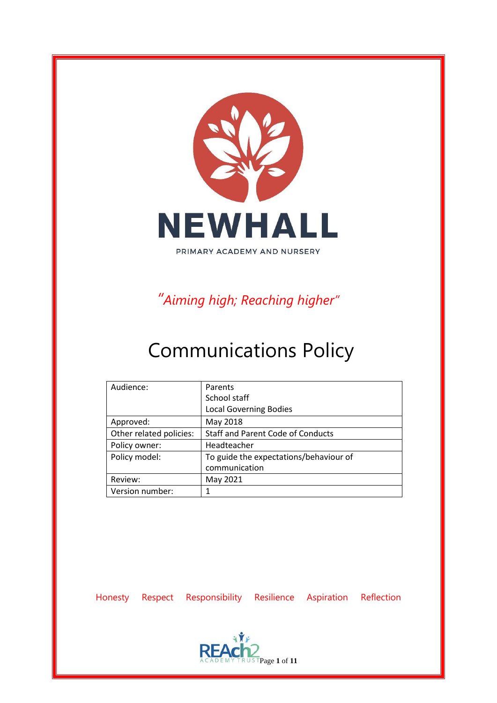

*"Aiming high; Reaching higher"*

# Communications Policy

| Audience:               | Parents                                  |
|-------------------------|------------------------------------------|
|                         | School staff                             |
|                         | <b>Local Governing Bodies</b>            |
| Approved:               | May 2018                                 |
| Other related policies: | <b>Staff and Parent Code of Conducts</b> |
| Policy owner:           | Headteacher                              |
| Policy model:           | To guide the expectations/behaviour of   |
|                         | communication                            |
| Review:                 | May 2021                                 |
| Version number:         |                                          |

Honesty Respect Responsibility Resilience Aspiration Reflection

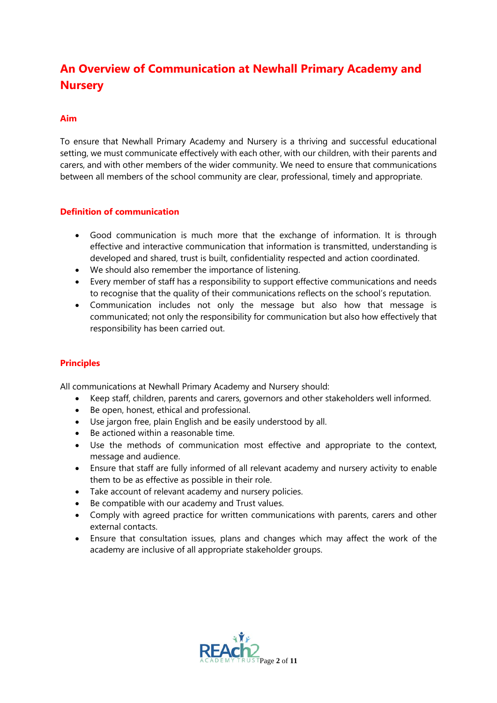### **An Overview of Communication at Newhall Primary Academy and Nursery**

#### **Aim**

To ensure that Newhall Primary Academy and Nursery is a thriving and successful educational setting, we must communicate effectively with each other, with our children, with their parents and carers, and with other members of the wider community. We need to ensure that communications between all members of the school community are clear, professional, timely and appropriate.

#### **Definition of communication**

- Good communication is much more that the exchange of information. It is through effective and interactive communication that information is transmitted, understanding is developed and shared, trust is built, confidentiality respected and action coordinated.
- We should also remember the importance of listening.
- Every member of staff has a responsibility to support effective communications and needs to recognise that the quality of their communications reflects on the school's reputation.
- Communication includes not only the message but also how that message is communicated; not only the responsibility for communication but also how effectively that responsibility has been carried out.

#### **Principles**

All communications at Newhall Primary Academy and Nursery should:

- Keep staff, children, parents and carers, governors and other stakeholders well informed.
- Be open, honest, ethical and professional.
- Use jargon free, plain English and be easily understood by all.
- Be actioned within a reasonable time.
- Use the methods of communication most effective and appropriate to the context, message and audience.
- Ensure that staff are fully informed of all relevant academy and nursery activity to enable them to be as effective as possible in their role.
- Take account of relevant academy and nursery policies.
- Be compatible with our academy and Trust values.
- Comply with agreed practice for written communications with parents, carers and other external contacts.
- Ensure that consultation issues, plans and changes which may affect the work of the academy are inclusive of all appropriate stakeholder groups.

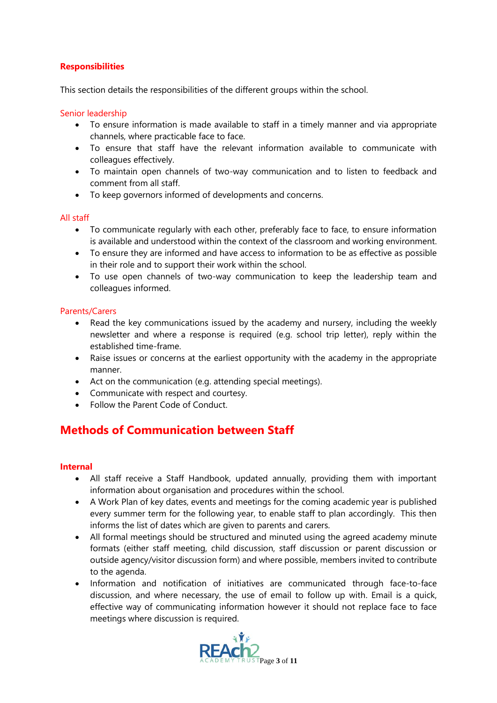#### **Responsibilities**

This section details the responsibilities of the different groups within the school.

#### Senior leadership

- To ensure information is made available to staff in a timely manner and via appropriate channels, where practicable face to face.
- To ensure that staff have the relevant information available to communicate with colleagues effectively.
- To maintain open channels of two-way communication and to listen to feedback and comment from all staff.
- To keep governors informed of developments and concerns.

#### All staff

- To communicate regularly with each other, preferably face to face, to ensure information is available and understood within the context of the classroom and working environment.
- To ensure they are informed and have access to information to be as effective as possible in their role and to support their work within the school.
- To use open channels of two-way communication to keep the leadership team and colleagues informed.

#### Parents/Carers

- Read the key communications issued by the academy and nursery, including the weekly newsletter and where a response is required (e.g. school trip letter), reply within the established time-frame.
- Raise issues or concerns at the earliest opportunity with the academy in the appropriate manner.
- Act on the communication (e.g. attending special meetings).
- Communicate with respect and courtesy.
- Follow the Parent Code of Conduct.

### **Methods of Communication between Staff**

#### **Internal**

- All staff receive a Staff Handbook, updated annually, providing them with important information about organisation and procedures within the school.
- A Work Plan of key dates, events and meetings for the coming academic year is published every summer term for the following year, to enable staff to plan accordingly. This then informs the list of dates which are given to parents and carers.
- All formal meetings should be structured and minuted using the agreed academy minute formats (either staff meeting, child discussion, staff discussion or parent discussion or outside agency/visitor discussion form) and where possible, members invited to contribute to the agenda.
- Information and notification of initiatives are communicated through face-to-face discussion, and where necessary, the use of email to follow up with. Email is a quick, effective way of communicating information however it should not replace face to face meetings where discussion is required.

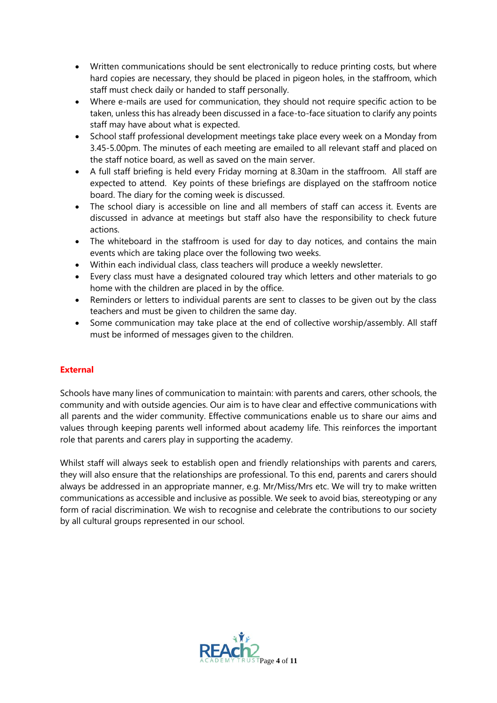- Written communications should be sent electronically to reduce printing costs, but where hard copies are necessary, they should be placed in pigeon holes, in the staffroom, which staff must check daily or handed to staff personally.
- Where e-mails are used for communication, they should not require specific action to be taken, unless this has already been discussed in a face-to-face situation to clarify any points staff may have about what is expected.
- School staff professional development meetings take place every week on a Monday from 3.45-5.00pm. The minutes of each meeting are emailed to all relevant staff and placed on the staff notice board, as well as saved on the main server.
- A full staff briefing is held every Friday morning at 8.30am in the staffroom. All staff are expected to attend. Key points of these briefings are displayed on the staffroom notice board. The diary for the coming week is discussed.
- The school diary is accessible on line and all members of staff can access it. Events are discussed in advance at meetings but staff also have the responsibility to check future actions.
- The whiteboard in the staffroom is used for day to day notices, and contains the main events which are taking place over the following two weeks.
- Within each individual class, class teachers will produce a weekly newsletter.
- Every class must have a designated coloured tray which letters and other materials to go home with the children are placed in by the office.
- Reminders or letters to individual parents are sent to classes to be given out by the class teachers and must be given to children the same day.
- Some communication may take place at the end of collective worship/assembly. All staff must be informed of messages given to the children.

#### **External**

Schools have many lines of communication to maintain: with parents and carers, other schools, the community and with outside agencies. Our aim is to have clear and effective communications with all parents and the wider community. Effective communications enable us to share our aims and values through keeping parents well informed about academy life. This reinforces the important role that parents and carers play in supporting the academy.

Whilst staff will always seek to establish open and friendly relationships with parents and carers, they will also ensure that the relationships are professional. To this end, parents and carers should always be addressed in an appropriate manner, e.g. Mr/Miss/Mrs etc. We will try to make written communications as accessible and inclusive as possible. We seek to avoid bias, stereotyping or any form of racial discrimination. We wish to recognise and celebrate the contributions to our society by all cultural groups represented in our school.

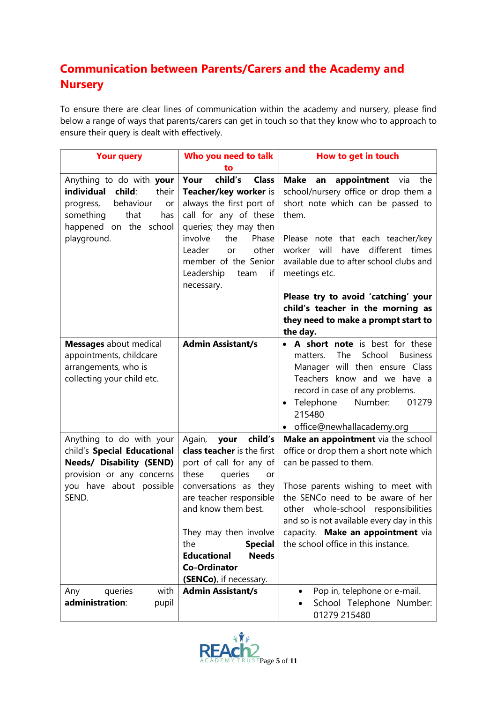## **Communication between Parents/Carers and the Academy and Nursery**

To ensure there are clear lines of communication within the academy and nursery, please find below a range of ways that parents/carers can get in touch so that they know who to approach to ensure their query is dealt with effectively.

| <b>Your query</b>                                                                                                                                              | Who you need to talk                                                                                                                                                                                                                                                                                                             | How to get in touch                                                                                                                                                                                                                                                                                                                                                                                            |
|----------------------------------------------------------------------------------------------------------------------------------------------------------------|----------------------------------------------------------------------------------------------------------------------------------------------------------------------------------------------------------------------------------------------------------------------------------------------------------------------------------|----------------------------------------------------------------------------------------------------------------------------------------------------------------------------------------------------------------------------------------------------------------------------------------------------------------------------------------------------------------------------------------------------------------|
|                                                                                                                                                                | to                                                                                                                                                                                                                                                                                                                               |                                                                                                                                                                                                                                                                                                                                                                                                                |
| Anything to do with your<br>individual<br>child:<br>their<br>behaviour<br>progress,<br>or<br>that<br>something<br>has<br>happened on the school<br>playground. | child's<br><b>Class</b><br>Your<br>Teacher/key worker is<br>always the first port of<br>call for any of these<br>queries; they may then<br>the<br>involve<br>Phase<br>Leader<br>other<br>or<br>member of the Senior<br>Leadership<br>if<br>team<br>necessary.                                                                    | <b>Make</b><br>appointment via<br>the<br>an<br>school/nursery office or drop them a<br>short note which can be passed to<br>them.<br>Please note that each teacher/key<br>will<br>different times<br>worker<br>have<br>available due to after school clubs and<br>meetings etc.<br>Please try to avoid 'catching' your<br>child's teacher in the morning as<br>they need to make a prompt start to<br>the day. |
| <b>Messages</b> about medical<br>appointments, childcare<br>arrangements, who is<br>collecting your child etc.                                                 | <b>Admin Assistant/s</b>                                                                                                                                                                                                                                                                                                         | A short note is best for these<br>$\bullet$<br>School<br><b>The</b><br><b>Business</b><br>matters.<br>Manager will then ensure Class<br>Teachers know and we have a<br>record in case of any problems.<br>Telephone<br>Number:<br>01279<br>$\bullet$<br>215480<br>• office@newhallacademy.org                                                                                                                  |
| Anything to do with your<br>child's Special Educational<br><b>Needs/ Disability (SEND)</b><br>provision or any concerns<br>you have about possible<br>SEND.    | child's<br>Again,<br>your<br>class teacher is the first<br>port of call for any of<br>these<br>queries<br>or<br>conversations as they<br>are teacher responsible<br>and know them best.<br>They may then involve<br><b>Special</b><br>the<br><b>Educational</b><br><b>Needs</b><br><b>Co-Ordinator</b><br>(SENCo), if necessary. | Make an appointment via the school<br>office or drop them a short note which<br>can be passed to them.<br>Those parents wishing to meet with<br>the SENCo need to be aware of her<br>whole-school responsibilities<br>other<br>and so is not available every day in this<br>capacity. Make an appointment via<br>the school office in this instance.                                                           |
| queries<br>with<br>Any<br>administration:<br>pupil                                                                                                             | <b>Admin Assistant/s</b>                                                                                                                                                                                                                                                                                                         | Pop in, telephone or e-mail.<br>School Telephone Number:<br>01279 215480                                                                                                                                                                                                                                                                                                                                       |

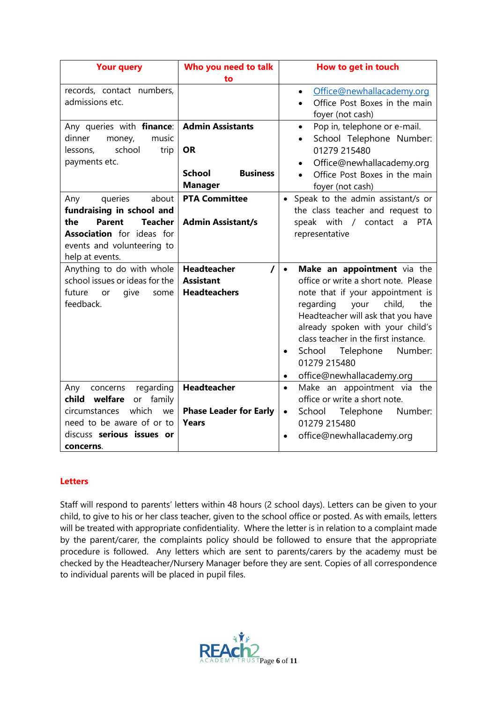| <b>Your query</b>                                                                                                                                                                   | Who you need to talk                                                      | How to get in touch                                                                                                                                                                                                                                                                                                                                                                |
|-------------------------------------------------------------------------------------------------------------------------------------------------------------------------------------|---------------------------------------------------------------------------|------------------------------------------------------------------------------------------------------------------------------------------------------------------------------------------------------------------------------------------------------------------------------------------------------------------------------------------------------------------------------------|
|                                                                                                                                                                                     | to                                                                        |                                                                                                                                                                                                                                                                                                                                                                                    |
| records, contact numbers,<br>admissions etc.                                                                                                                                        |                                                                           | Office@newhallacademy.org<br>$\bullet$<br>Office Post Boxes in the main<br>foyer (not cash)                                                                                                                                                                                                                                                                                        |
| Any queries with finance:   Admin Assistants<br>dinner<br>money,<br>music<br>school<br>trip<br>lessons,<br>payments etc.                                                            | <b>OR</b><br><b>School</b><br><b>Business</b><br><b>Manager</b>           | Pop in, telephone or e-mail.<br>$\bullet$<br>School Telephone Number:<br>01279 215480<br>Office@newhallacademy.org<br>Office Post Boxes in the main<br>foyer (not cash)                                                                                                                                                                                                            |
| about<br>queries<br>Any<br>fundraising in school and<br><b>Parent</b><br><b>Teacher</b><br>the<br><b>Association</b> for ideas for<br>events and volunteering to<br>help at events. | <b>PTA Committee</b><br><b>Admin Assistant/s</b>                          | Speak to the admin assistant/s or<br>$\bullet$<br>the class teacher and request to<br>speak with / contact a PTA<br>representative                                                                                                                                                                                                                                                 |
| Anything to do with whole<br>school issues or ideas for the<br>future<br>give<br>some<br><b>or</b><br>feedback.                                                                     | <b>Headteacher</b><br>$\prime$<br><b>Assistant</b><br><b>Headteachers</b> | Make an appointment via the<br>$\bullet$<br>office or write a short note. Please<br>note that if your appointment is<br>regarding<br>child,<br>your<br>the<br>Headteacher will ask that you have<br>already spoken with your child's<br>class teacher in the first instance.<br>School Telephone<br>Number:<br>$\bullet$<br>01279 215480<br>office@newhallacademy.org<br>$\bullet$ |
| regarding<br>Any<br>concerns<br>child<br>welfare<br>family<br>or<br>which<br>circumstances<br>we<br>need to be aware of or to<br>discuss serious issues or<br>concerns.             | Headteacher<br><b>Phase Leader for Early</b><br>Years                     | Make an appointment via the<br>$\bullet$<br>office or write a short note.<br>Telephone<br>Number:<br>School<br>$\bullet$<br>01279 215480<br>office@newhallacademy.org                                                                                                                                                                                                              |

#### **Letters**

Staff will respond to parents' letters within 48 hours (2 school days). Letters can be given to your child, to give to his or her class teacher, given to the school office or posted. As with emails, letters will be treated with appropriate confidentiality. Where the letter is in relation to a complaint made by the parent/carer, the complaints policy should be followed to ensure that the appropriate procedure is followed. Any letters which are sent to parents/carers by the academy must be checked by the Headteacher/Nursery Manager before they are sent. Copies of all correspondence to individual parents will be placed in pupil files.

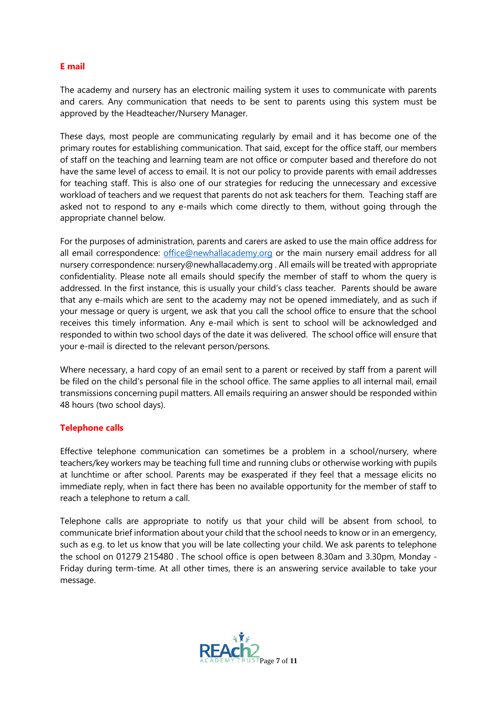#### **E mail**

The academy and nursery has an electronic mailing system it uses to communicate with parents and carers. Any communication that needs to be sent to parents using this system must be approved by the Headteacher/Nursery Manager.

These days, most people are communicating regularly by email and it has become one of the primary routes for establishing communication. That said, except for the office staff, our members of staff on the teaching and learning team are not office or computer based and therefore do not have the same level of access to email. It is not our policy to provide parents with email addresses for teaching staff. This is also one of our strategies for reducing the unnecessary and excessive workload of teachers and we request that parents do not ask teachers for them. Teaching staff are asked not to respond to any e-mails which come directly to them, without going through the appropriate channel below.

For the purposes of administration, parents and carers are asked to use the main office address for all email correspondence: [office@newhallacademy.org](mailto:office@newhallacademy.org) or the main nursery email address for all nursery correspondence: nursery@newhallacademy.org . All emails will be treated with appropriate confidentiality. Please note all emails should specify the member of staff to whom the query is addressed. In the first instance, this is usually your child's class teacher. Parents should be aware that any e-mails which are sent to the academy may not be opened immediately, and as such if your message or query is urgent, we ask that you call the school office to ensure that the school receives this timely information. Any e-mail which is sent to school will be acknowledged and responded to within two school days of the date it was delivered. The school office will ensure that your e-mail is directed to the relevant person/persons.

Where necessary, a hard copy of an email sent to a parent or received by staff from a parent will be filed on the child's personal file in the school office. The same applies to all internal mail, email transmissions concerning pupil matters. All emails requiring an answer should be responded within 48 hours (two school days).

#### **Telephone calls**

Effective telephone communication can sometimes be a problem in a school/nursery, where teachers/key workers may be teaching full time and running clubs or otherwise working with pupils at lunchtime or after school. Parents may be exasperated if they feel that a message elicits no immediate reply, when in fact there has been no available opportunity for the member of staff to reach a telephone to return a call.

Telephone calls are appropriate to notify us that your child will be absent from school, to communicate brief information about your child that the school needs to know or in an emergency, such as e.g. to let us know that you will be late collecting your child. We ask parents to telephone the school on 01279 215480 . The school office is open between 8.30am and 3.30pm, Monday - Friday during term-time. At all other times, there is an answering service available to take your message.

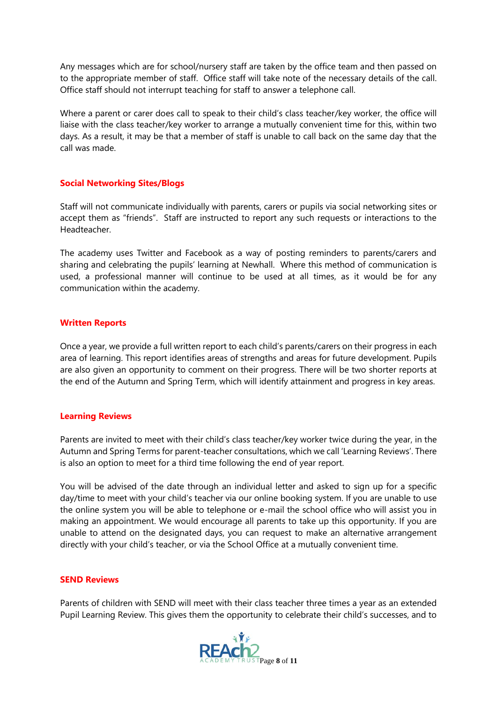Any messages which are for school/nursery staff are taken by the office team and then passed on to the appropriate member of staff. Office staff will take note of the necessary details of the call. Office staff should not interrupt teaching for staff to answer a telephone call.

Where a parent or carer does call to speak to their child's class teacher/key worker, the office will liaise with the class teacher/key worker to arrange a mutually convenient time for this, within two days. As a result, it may be that a member of staff is unable to call back on the same day that the call was made.

#### **Social Networking Sites/Blogs**

Staff will not communicate individually with parents, carers or pupils via social networking sites or accept them as "friends". Staff are instructed to report any such requests or interactions to the Headteacher.

The academy uses Twitter and Facebook as a way of posting reminders to parents/carers and sharing and celebrating the pupils' learning at Newhall. Where this method of communication is used, a professional manner will continue to be used at all times, as it would be for any communication within the academy.

#### **Written Reports**

Once a year, we provide a full written report to each child's parents/carers on their progress in each area of learning. This report identifies areas of strengths and areas for future development. Pupils are also given an opportunity to comment on their progress. There will be two shorter reports at the end of the Autumn and Spring Term, which will identify attainment and progress in key areas.

#### **Learning Reviews**

Parents are invited to meet with their child's class teacher/key worker twice during the year, in the Autumn and Spring Terms for parent-teacher consultations, which we call 'Learning Reviews'. There is also an option to meet for a third time following the end of year report.

You will be advised of the date through an individual letter and asked to sign up for a specific day/time to meet with your child's teacher via our online booking system. If you are unable to use the online system you will be able to telephone or e-mail the school office who will assist you in making an appointment. We would encourage all parents to take up this opportunity. If you are unable to attend on the designated days, you can request to make an alternative arrangement directly with your child's teacher, or via the School Office at a mutually convenient time.

#### **SEND Reviews**

Parents of children with SEND will meet with their class teacher three times a year as an extended Pupil Learning Review. This gives them the opportunity to celebrate their child's successes, and to

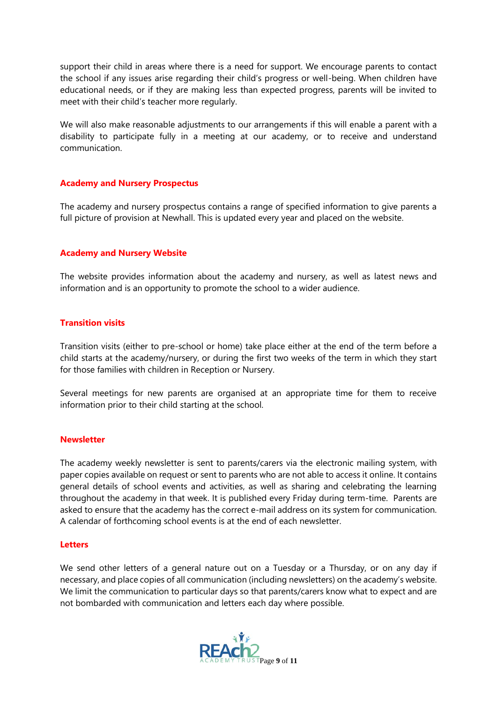support their child in areas where there is a need for support. We encourage parents to contact the school if any issues arise regarding their child's progress or well-being. When children have educational needs, or if they are making less than expected progress, parents will be invited to meet with their child's teacher more regularly.

We will also make reasonable adjustments to our arrangements if this will enable a parent with a disability to participate fully in a meeting at our academy, or to receive and understand communication.

#### **Academy and Nursery Prospectus**

The academy and nursery prospectus contains a range of specified information to give parents a full picture of provision at Newhall. This is updated every year and placed on the website.

#### **Academy and Nursery Website**

The website provides information about the academy and nursery, as well as latest news and information and is an opportunity to promote the school to a wider audience.

#### **Transition visits**

Transition visits (either to pre-school or home) take place either at the end of the term before a child starts at the academy/nursery, or during the first two weeks of the term in which they start for those families with children in Reception or Nursery.

Several meetings for new parents are organised at an appropriate time for them to receive information prior to their child starting at the school.

#### **Newsletter**

The academy weekly newsletter is sent to parents/carers via the electronic mailing system, with paper copies available on request or sent to parents who are not able to access it online. It contains general details of school events and activities, as well as sharing and celebrating the learning throughout the academy in that week. It is published every Friday during term-time. Parents are asked to ensure that the academy has the correct e-mail address on its system for communication. A calendar of forthcoming school events is at the end of each newsletter.

#### **Letters**

We send other letters of a general nature out on a Tuesday or a Thursday, or on any day if necessary, and place copies of all communication (including newsletters) on the academy's website. We limit the communication to particular days so that parents/carers know what to expect and are not bombarded with communication and letters each day where possible.

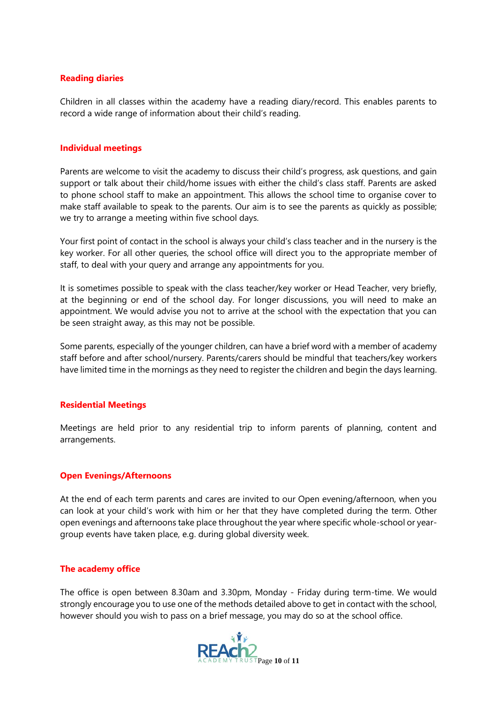#### **Reading diaries**

Children in all classes within the academy have a reading diary/record. This enables parents to record a wide range of information about their child's reading.

#### **Individual meetings**

Parents are welcome to visit the academy to discuss their child's progress, ask questions, and gain support or talk about their child/home issues with either the child's class staff. Parents are asked to phone school staff to make an appointment. This allows the school time to organise cover to make staff available to speak to the parents. Our aim is to see the parents as quickly as possible; we try to arrange a meeting within five school days.

Your first point of contact in the school is always your child's class teacher and in the nursery is the key worker. For all other queries, the school office will direct you to the appropriate member of staff, to deal with your query and arrange any appointments for you.

It is sometimes possible to speak with the class teacher/key worker or Head Teacher, very briefly, at the beginning or end of the school day. For longer discussions, you will need to make an appointment. We would advise you not to arrive at the school with the expectation that you can be seen straight away, as this may not be possible.

Some parents, especially of the younger children, can have a brief word with a member of academy staff before and after school/nursery. Parents/carers should be mindful that teachers/key workers have limited time in the mornings as they need to register the children and begin the days learning.

#### **Residential Meetings**

Meetings are held prior to any residential trip to inform parents of planning, content and arrangements.

#### **Open Evenings/Afternoons**

At the end of each term parents and cares are invited to our Open evening/afternoon, when you can look at your child's work with him or her that they have completed during the term. Other open evenings and afternoons take place throughout the year where specific whole-school or yeargroup events have taken place, e.g. during global diversity week.

#### **The academy office**

The office is open between 8.30am and 3.30pm, Monday - Friday during term-time. We would strongly encourage you to use one of the methods detailed above to get in contact with the school, however should you wish to pass on a brief message, you may do so at the school office.